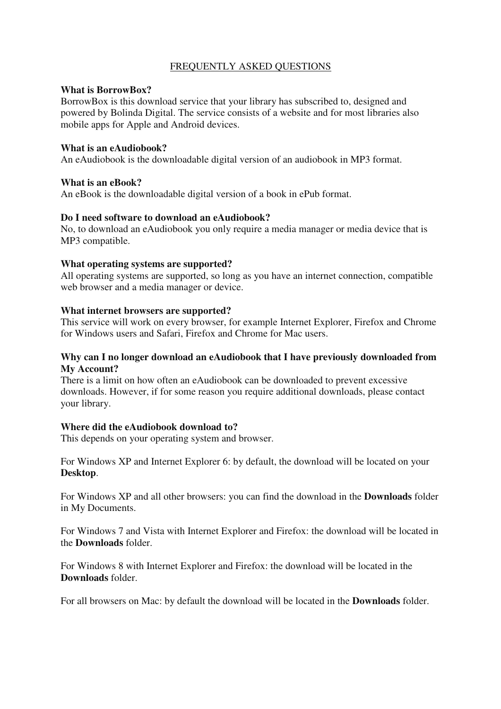# FREQUENTLY ASKED QUESTIONS

#### **What is BorrowBox?**

BorrowBox is this download service that your library has subscribed to, designed and powered by Bolinda Digital. The service consists of a website and for most libraries also mobile apps for Apple and Android devices.

#### **What is an eAudiobook?**

An eAudiobook is the downloadable digital version of an audiobook in MP3 format.

#### **What is an eBook?**

An eBook is the downloadable digital version of a book in ePub format.

# **Do I need software to download an eAudiobook?**

No, to download an eAudiobook you only require a media manager or media device that is MP3 compatible.

#### **What operating systems are supported?**

All operating systems are supported, so long as you have an internet connection, compatible web browser and a media manager or device.

#### **What internet browsers are supported?**

This service will work on every browser, for example Internet Explorer, Firefox and Chrome for Windows users and Safari, Firefox and Chrome for Mac users.

## **Why can I no longer download an eAudiobook that I have previously downloaded from My Account?**

There is a limit on how often an eAudiobook can be downloaded to prevent excessive downloads. However, if for some reason you require additional downloads, please contact your library.

## **Where did the eAudiobook download to?**

This depends on your operating system and browser.

For Windows XP and Internet Explorer 6: by default, the download will be located on your **Desktop**.

For Windows XP and all other browsers: you can find the download in the **Downloads** folder in My Documents.

For Windows 7 and Vista with Internet Explorer and Firefox: the download will be located in the **Downloads** folder.

For Windows 8 with Internet Explorer and Firefox: the download will be located in the **Downloads** folder.

For all browsers on Mac: by default the download will be located in the **Downloads** folder.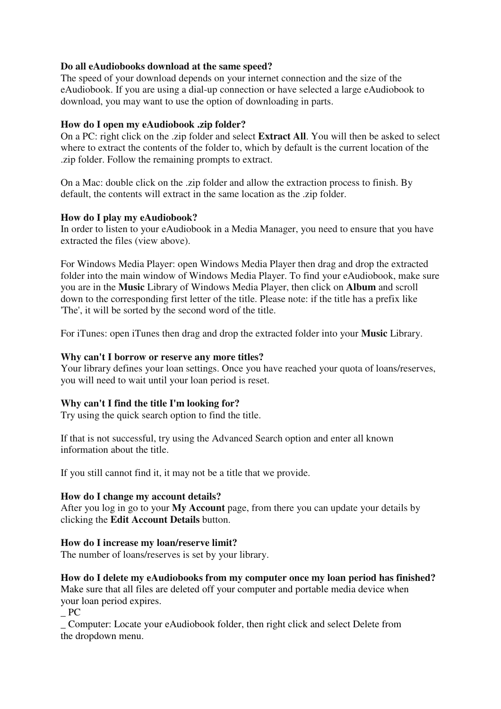# **Do all eAudiobooks download at the same speed?**

The speed of your download depends on your internet connection and the size of the eAudiobook. If you are using a dial-up connection or have selected a large eAudiobook to download, you may want to use the option of downloading in parts.

# **How do I open my eAudiobook .zip folder?**

On a PC: right click on the .zip folder and select **Extract All**. You will then be asked to select where to extract the contents of the folder to, which by default is the current location of the .zip folder. Follow the remaining prompts to extract.

On a Mac: double click on the .zip folder and allow the extraction process to finish. By default, the contents will extract in the same location as the .zip folder.

# **How do I play my eAudiobook?**

In order to listen to your eAudiobook in a Media Manager, you need to ensure that you have extracted the files (view above).

For Windows Media Player: open Windows Media Player then drag and drop the extracted folder into the main window of Windows Media Player. To find your eAudiobook, make sure you are in the **Music** Library of Windows Media Player, then click on **Album** and scroll down to the corresponding first letter of the title. Please note: if the title has a prefix like 'The', it will be sorted by the second word of the title.

For iTunes: open iTunes then drag and drop the extracted folder into your **Music** Library.

## **Why can't I borrow or reserve any more titles?**

Your library defines your loan settings. Once you have reached your quota of loans/reserves, you will need to wait until your loan period is reset.

# **Why can't I find the title I'm looking for?**

Try using the quick search option to find the title.

If that is not successful, try using the Advanced Search option and enter all known information about the title.

If you still cannot find it, it may not be a title that we provide.

## **How do I change my account details?**

After you log in go to your **My Account** page, from there you can update your details by clicking the **Edit Account Details** button.

## **How do I increase my loan/reserve limit?**

The number of loans/reserves is set by your library.

# **How do I delete my eAudiobooks from my computer once my loan period has finished?**

Make sure that all files are deleted off your computer and portable media device when your loan period expires.

\_ PC

\_ Computer: Locate your eAudiobook folder, then right click and select Delete from the dropdown menu.